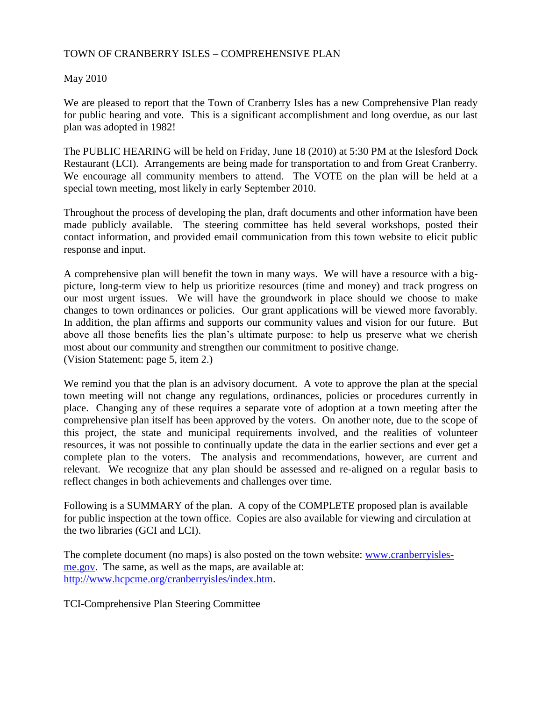# TOWN OF CRANBERRY ISLES – COMPREHENSIVE PLAN

# May 2010

We are pleased to report that the Town of Cranberry Isles has a new Comprehensive Plan ready for public hearing and vote. This is a significant accomplishment and long overdue, as our last plan was adopted in 1982!

The PUBLIC HEARING will be held on Friday, June 18 (2010) at 5:30 PM at the Islesford Dock Restaurant (LCI). Arrangements are being made for transportation to and from Great Cranberry. We encourage all community members to attend. The VOTE on the plan will be held at a special town meeting, most likely in early September 2010.

Throughout the process of developing the plan, draft documents and other information have been made publicly available. The steering committee has held several workshops, posted their contact information, and provided email communication from this town website to elicit public response and input.

A comprehensive plan will benefit the town in many ways. We will have a resource with a bigpicture, long-term view to help us prioritize resources (time and money) and track progress on our most urgent issues. We will have the groundwork in place should we choose to make changes to town ordinances or policies. Our grant applications will be viewed more favorably. In addition, the plan affirms and supports our community values and vision for our future. But above all those benefits lies the plan's ultimate purpose: to help us preserve what we cherish most about our community and strengthen our commitment to positive change. (Vision Statement: page 5, item 2.)

We remind you that the plan is an advisory document. A vote to approve the plan at the special town meeting will not change any regulations, ordinances, policies or procedures currently in place. Changing any of these requires a separate vote of adoption at a town meeting after the comprehensive plan itself has been approved by the voters. On another note, due to the scope of this project, the state and municipal requirements involved, and the realities of volunteer resources, it was not possible to continually update the data in the earlier sections and ever get a complete plan to the voters. The analysis and recommendations, however, are current and relevant. We recognize that any plan should be assessed and re-aligned on a regular basis to reflect changes in both achievements and challenges over time.

Following is a SUMMARY of the plan. A copy of the COMPLETE proposed plan is available for public inspection at the town office. Copies are also available for viewing and circulation at the two libraries (GCI and LCI).

The complete document (no maps) is also posted on the town website: [www.cranberryisles](http://www.cranberryisles-me.gov/)[me.gov.](http://www.cranberryisles-me.gov/) The same, as well as the maps, are available at: [http://www.hcpcme.org/cranberryisles/index.htm.](http://www.hcpcme.org/cranberryisles/index.htm)

TCI-Comprehensive Plan Steering Committee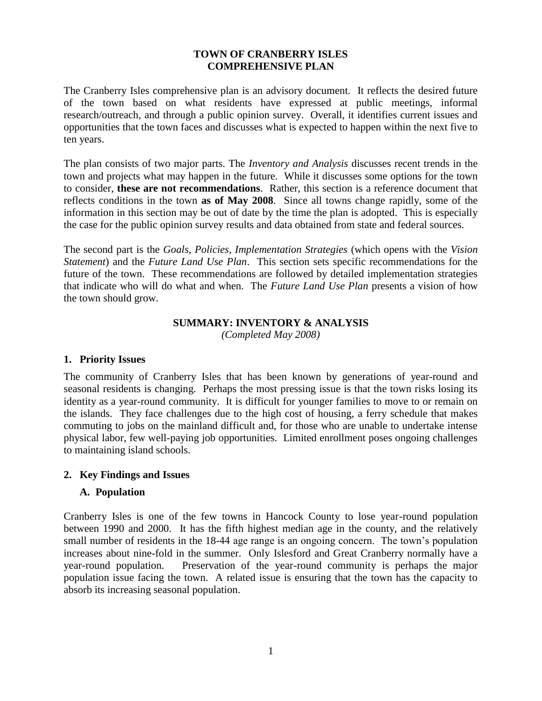#### **TOWN OF CRANBERRY ISLES COMPREHENSIVE PLAN**

The Cranberry Isles comprehensive plan is an advisory document. It reflects the desired future of the town based on what residents have expressed at public meetings, informal research/outreach, and through a public opinion survey. Overall, it identifies current issues and opportunities that the town faces and discusses what is expected to happen within the next five to ten years.

The plan consists of two major parts. The *Inventory and Analysis* discusses recent trends in the town and projects what may happen in the future. While it discusses some options for the town to consider, **these are not recommendations**. Rather, this section is a reference document that reflects conditions in the town **as of May 2008**. Since all towns change rapidly, some of the information in this section may be out of date by the time the plan is adopted. This is especially the case for the public opinion survey results and data obtained from state and federal sources.

The second part is the *Goals, Policies, Implementation Strategies* (which opens with the *Vision Statement*) and the *Future Land Use Plan*. This section sets specific recommendations for the future of the town. These recommendations are followed by detailed implementation strategies that indicate who will do what and when. The *Future Land Use Plan* presents a vision of how the town should grow.

#### **SUMMARY: INVENTORY & ANALYSIS**

*(Completed May 2008)*

#### **1. Priority Issues**

The community of Cranberry Isles that has been known by generations of year-round and seasonal residents is changing. Perhaps the most pressing issue is that the town risks losing its identity as a year-round community. It is difficult for younger families to move to or remain on the islands. They face challenges due to the high cost of housing, a ferry schedule that makes commuting to jobs on the mainland difficult and, for those who are unable to undertake intense physical labor, few well-paying job opportunities. Limited enrollment poses ongoing challenges to maintaining island schools.

#### **2. Key Findings and Issues**

#### **A. Population**

Cranberry Isles is one of the few towns in Hancock County to lose year-round population between 1990 and 2000. It has the fifth highest median age in the county, and the relatively small number of residents in the 18-44 age range is an ongoing concern. The town's population increases about nine-fold in the summer. Only Islesford and Great Cranberry normally have a year-round population. Preservation of the year-round community is perhaps the major population issue facing the town. A related issue is ensuring that the town has the capacity to absorb its increasing seasonal population.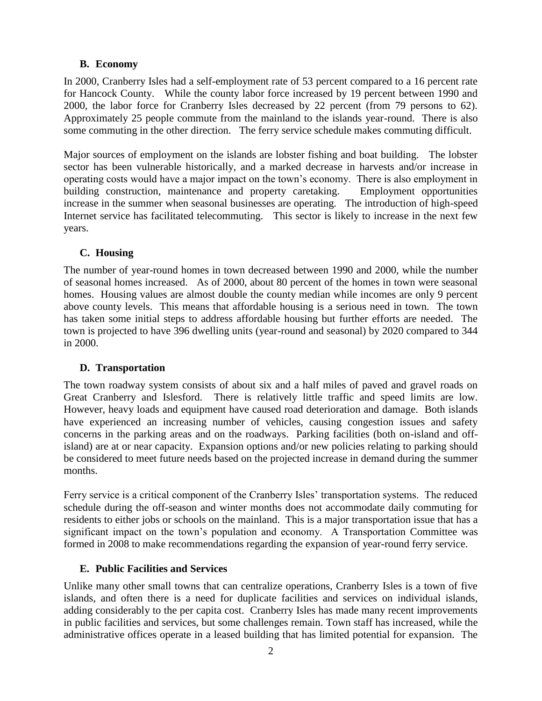### **B. Economy**

In 2000, Cranberry Isles had a self-employment rate of 53 percent compared to a 16 percent rate for Hancock County. While the county labor force increased by 19 percent between 1990 and 2000, the labor force for Cranberry Isles decreased by 22 percent (from 79 persons to 62). Approximately 25 people commute from the mainland to the islands year-round. There is also some commuting in the other direction. The ferry service schedule makes commuting difficult.

Major sources of employment on the islands are lobster fishing and boat building. The lobster sector has been vulnerable historically, and a marked decrease in harvests and/or increase in operating costs would have a major impact on the town's economy. There is also employment in building construction, maintenance and property caretaking. Employment opportunities increase in the summer when seasonal businesses are operating. The introduction of high-speed Internet service has facilitated telecommuting. This sector is likely to increase in the next few years.

# **C. Housing**

The number of year-round homes in town decreased between 1990 and 2000, while the number of seasonal homes increased. As of 2000, about 80 percent of the homes in town were seasonal homes. Housing values are almost double the county median while incomes are only 9 percent above county levels. This means that affordable housing is a serious need in town. The town has taken some initial steps to address affordable housing but further efforts are needed. The town is projected to have 396 dwelling units (year-round and seasonal) by 2020 compared to 344 in 2000.

# **D. Transportation**

The town roadway system consists of about six and a half miles of paved and gravel roads on Great Cranberry and Islesford. There is relatively little traffic and speed limits are low. However, heavy loads and equipment have caused road deterioration and damage. Both islands have experienced an increasing number of vehicles, causing congestion issues and safety concerns in the parking areas and on the roadways. Parking facilities (both on-island and offisland) are at or near capacity. Expansion options and/or new policies relating to parking should be considered to meet future needs based on the projected increase in demand during the summer months.

Ferry service is a critical component of the Cranberry Isles' transportation systems. The reduced schedule during the off-season and winter months does not accommodate daily commuting for residents to either jobs or schools on the mainland. This is a major transportation issue that has a significant impact on the town's population and economy. A Transportation Committee was formed in 2008 to make recommendations regarding the expansion of year-round ferry service.

# **E. Public Facilities and Services**

Unlike many other small towns that can centralize operations, Cranberry Isles is a town of five islands, and often there is a need for duplicate facilities and services on individual islands, adding considerably to the per capita cost. Cranberry Isles has made many recent improvements in public facilities and services, but some challenges remain. Town staff has increased, while the administrative offices operate in a leased building that has limited potential for expansion. The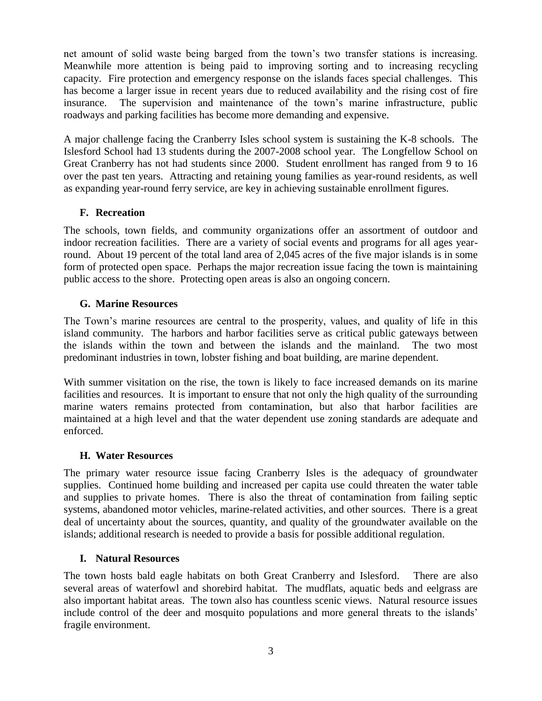net amount of solid waste being barged from the town's two transfer stations is increasing. Meanwhile more attention is being paid to improving sorting and to increasing recycling capacity. Fire protection and emergency response on the islands faces special challenges. This has become a larger issue in recent years due to reduced availability and the rising cost of fire insurance. The supervision and maintenance of the town's marine infrastructure, public roadways and parking facilities has become more demanding and expensive.

A major challenge facing the Cranberry Isles school system is sustaining the K-8 schools. The Islesford School had 13 students during the 2007-2008 school year. The Longfellow School on Great Cranberry has not had students since 2000. Student enrollment has ranged from 9 to 16 over the past ten years. Attracting and retaining young families as year-round residents, as well as expanding year-round ferry service, are key in achieving sustainable enrollment figures.

# **F. Recreation**

The schools, town fields, and community organizations offer an assortment of outdoor and indoor recreation facilities. There are a variety of social events and programs for all ages yearround. About 19 percent of the total land area of 2,045 acres of the five major islands is in some form of protected open space. Perhaps the major recreation issue facing the town is maintaining public access to the shore. Protecting open areas is also an ongoing concern.

# **G. Marine Resources**

The Town's marine resources are central to the prosperity, values, and quality of life in this island community. The harbors and harbor facilities serve as critical public gateways between the islands within the town and between the islands and the mainland. The two most predominant industries in town, lobster fishing and boat building, are marine dependent.

With summer visitation on the rise, the town is likely to face increased demands on its marine facilities and resources. It is important to ensure that not only the high quality of the surrounding marine waters remains protected from contamination, but also that harbor facilities are maintained at a high level and that the water dependent use zoning standards are adequate and enforced.

# **H. Water Resources**

The primary water resource issue facing Cranberry Isles is the adequacy of groundwater supplies. Continued home building and increased per capita use could threaten the water table and supplies to private homes. There is also the threat of contamination from failing septic systems, abandoned motor vehicles, marine-related activities, and other sources. There is a great deal of uncertainty about the sources, quantity, and quality of the groundwater available on the islands; additional research is needed to provide a basis for possible additional regulation.

# **I. Natural Resources**

The town hosts bald eagle habitats on both Great Cranberry and Islesford. There are also several areas of waterfowl and shorebird habitat. The mudflats, aquatic beds and eelgrass are also important habitat areas. The town also has countless scenic views. Natural resource issues include control of the deer and mosquito populations and more general threats to the islands' fragile environment.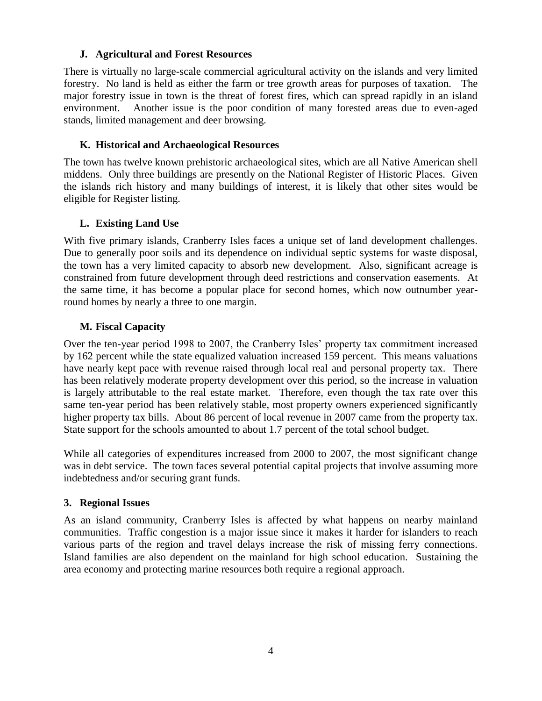#### **J. Agricultural and Forest Resources**

There is virtually no large-scale commercial agricultural activity on the islands and very limited forestry. No land is held as either the farm or tree growth areas for purposes of taxation. The major forestry issue in town is the threat of forest fires, which can spread rapidly in an island environment. Another issue is the poor condition of many forested areas due to even-aged stands, limited management and deer browsing.

### **K. Historical and Archaeological Resources**

The town has twelve known prehistoric archaeological sites, which are all Native American shell middens. Only three buildings are presently on the National Register of Historic Places. Given the islands rich history and many buildings of interest, it is likely that other sites would be eligible for Register listing.

#### **L. Existing Land Use**

With five primary islands, Cranberry Isles faces a unique set of land development challenges. Due to generally poor soils and its dependence on individual septic systems for waste disposal, the town has a very limited capacity to absorb new development. Also, significant acreage is constrained from future development through deed restrictions and conservation easements. At the same time, it has become a popular place for second homes, which now outnumber yearround homes by nearly a three to one margin.

# **M. Fiscal Capacity**

Over the ten-year period 1998 to 2007, the Cranberry Isles' property tax commitment increased by 162 percent while the state equalized valuation increased 159 percent. This means valuations have nearly kept pace with revenue raised through local real and personal property tax. There has been relatively moderate property development over this period, so the increase in valuation is largely attributable to the real estate market. Therefore, even though the tax rate over this same ten-year period has been relatively stable, most property owners experienced significantly higher property tax bills. About 86 percent of local revenue in 2007 came from the property tax. State support for the schools amounted to about 1.7 percent of the total school budget.

While all categories of expenditures increased from 2000 to 2007, the most significant change was in debt service. The town faces several potential capital projects that involve assuming more indebtedness and/or securing grant funds.

#### **3. Regional Issues**

As an island community, Cranberry Isles is affected by what happens on nearby mainland communities. Traffic congestion is a major issue since it makes it harder for islanders to reach various parts of the region and travel delays increase the risk of missing ferry connections. Island families are also dependent on the mainland for high school education. Sustaining the area economy and protecting marine resources both require a regional approach.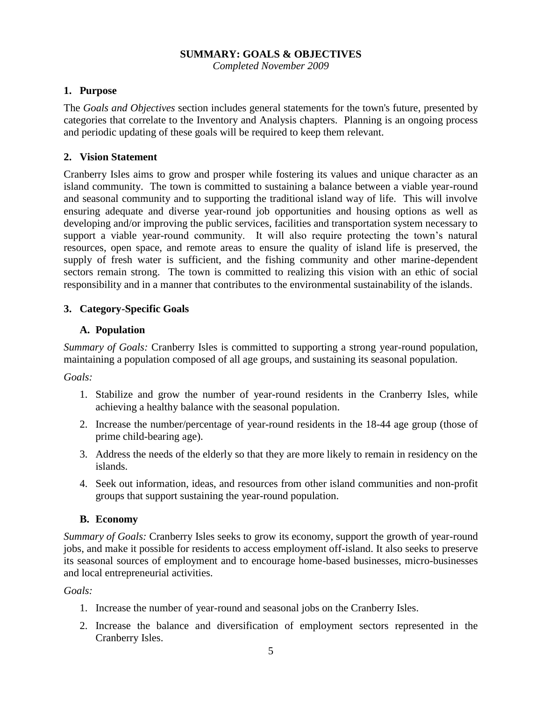#### **SUMMARY: GOALS & OBJECTIVES**

*Completed November 2009*

#### **1. Purpose**

The *Goals and Objectives* section includes general statements for the town's future, presented by categories that correlate to the Inventory and Analysis chapters. Planning is an ongoing process and periodic updating of these goals will be required to keep them relevant.

#### **2. Vision Statement**

Cranberry Isles aims to grow and prosper while fostering its values and unique character as an island community. The town is committed to sustaining a balance between a viable year-round and seasonal community and to supporting the traditional island way of life. This will involve ensuring adequate and diverse year-round job opportunities and housing options as well as developing and/or improving the public services, facilities and transportation system necessary to support a viable year-round community. It will also require protecting the town's natural resources, open space, and remote areas to ensure the quality of island life is preserved, the supply of fresh water is sufficient, and the fishing community and other marine-dependent sectors remain strong. The town is committed to realizing this vision with an ethic of social responsibility and in a manner that contributes to the environmental sustainability of the islands.

#### **3. Category-Specific Goals**

#### **A. Population**

*Summary of Goals:* Cranberry Isles is committed to supporting a strong year-round population, maintaining a population composed of all age groups, and sustaining its seasonal population.

*Goals:*

- 1. Stabilize and grow the number of year-round residents in the Cranberry Isles, while achieving a healthy balance with the seasonal population.
- 2. Increase the number/percentage of year-round residents in the 18-44 age group (those of prime child-bearing age).
- 3. Address the needs of the elderly so that they are more likely to remain in residency on the islands.
- 4. Seek out information, ideas, and resources from other island communities and non-profit groups that support sustaining the year-round population.

#### **B. Economy**

*Summary of Goals:* Cranberry Isles seeks to grow its economy, support the growth of year-round jobs, and make it possible for residents to access employment off-island. It also seeks to preserve its seasonal sources of employment and to encourage home-based businesses, micro-businesses and local entrepreneurial activities.

- 1. Increase the number of year-round and seasonal jobs on the Cranberry Isles.
- 2. Increase the balance and diversification of employment sectors represented in the Cranberry Isles.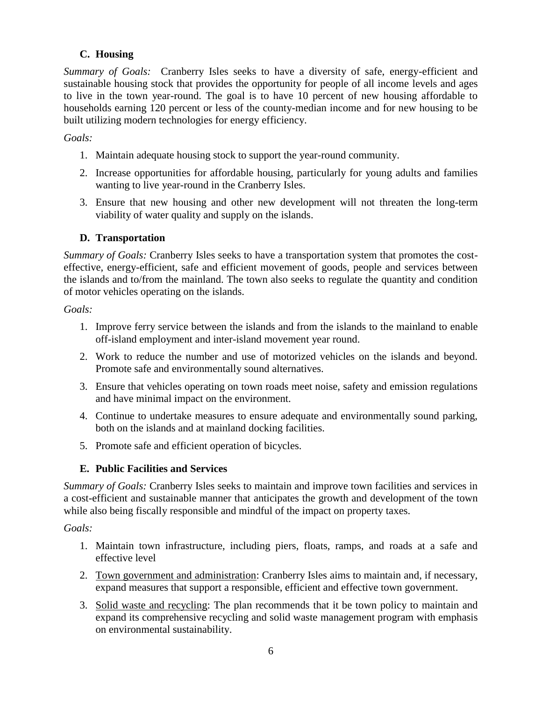# **C. Housing**

*Summary of Goals:* Cranberry Isles seeks to have a diversity of safe, energy-efficient and sustainable housing stock that provides the opportunity for people of all income levels and ages to live in the town year-round. The goal is to have 10 percent of new housing affordable to households earning 120 percent or less of the county-median income and for new housing to be built utilizing modern technologies for energy efficiency.

#### *Goals:*

- 1. Maintain adequate housing stock to support the year-round community.
- 2. Increase opportunities for affordable housing, particularly for young adults and families wanting to live year-round in the Cranberry Isles.
- 3. Ensure that new housing and other new development will not threaten the long-term viability of water quality and supply on the islands.

#### **D. Transportation**

*Summary of Goals:* Cranberry Isles seeks to have a transportation system that promotes the costeffective, energy-efficient, safe and efficient movement of goods, people and services between the islands and to/from the mainland. The town also seeks to regulate the quantity and condition of motor vehicles operating on the islands.

#### *Goals:*

- 1. Improve ferry service between the islands and from the islands to the mainland to enable off-island employment and inter-island movement year round.
- 2. Work to reduce the number and use of motorized vehicles on the islands and beyond. Promote safe and environmentally sound alternatives.
- 3. Ensure that vehicles operating on town roads meet noise, safety and emission regulations and have minimal impact on the environment.
- 4. Continue to undertake measures to ensure adequate and environmentally sound parking, both on the islands and at mainland docking facilities.
- 5. Promote safe and efficient operation of bicycles.

# **E. Public Facilities and Services**

*Summary of Goals:* Cranberry Isles seeks to maintain and improve town facilities and services in a cost-efficient and sustainable manner that anticipates the growth and development of the town while also being fiscally responsible and mindful of the impact on property taxes.

- 1. Maintain town infrastructure, including piers, floats, ramps, and roads at a safe and effective level
- 2. Town government and administration: Cranberry Isles aims to maintain and, if necessary, expand measures that support a responsible, efficient and effective town government.
- 3. Solid waste and recycling: The plan recommends that it be town policy to maintain and expand its comprehensive recycling and solid waste management program with emphasis on environmental sustainability.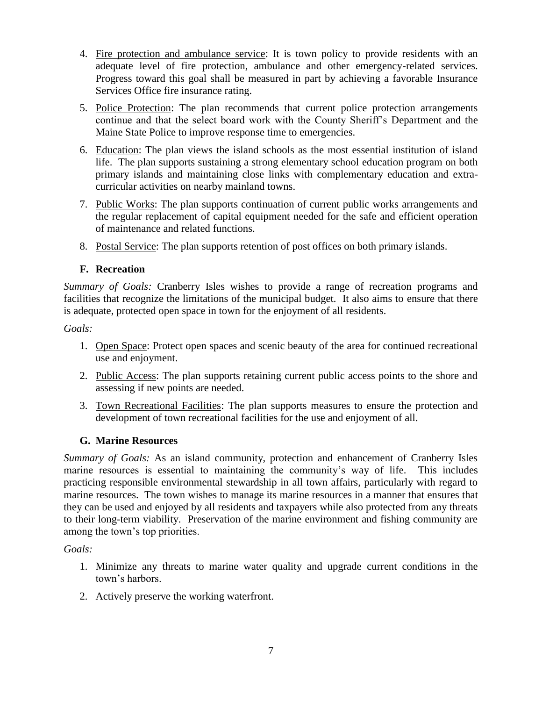- 4. Fire protection and ambulance service: It is town policy to provide residents with an adequate level of fire protection, ambulance and other emergency-related services. Progress toward this goal shall be measured in part by achieving a favorable Insurance Services Office fire insurance rating.
- 5. Police Protection: The plan recommends that current police protection arrangements continue and that the select board work with the County Sheriff's Department and the Maine State Police to improve response time to emergencies.
- 6. Education: The plan views the island schools as the most essential institution of island life. The plan supports sustaining a strong elementary school education program on both primary islands and maintaining close links with complementary education and extracurricular activities on nearby mainland towns.
- 7. Public Works: The plan supports continuation of current public works arrangements and the regular replacement of capital equipment needed for the safe and efficient operation of maintenance and related functions.
- 8. Postal Service: The plan supports retention of post offices on both primary islands.

# **F. Recreation**

*Summary of Goals:* Cranberry Isles wishes to provide a range of recreation programs and facilities that recognize the limitations of the municipal budget. It also aims to ensure that there is adequate, protected open space in town for the enjoyment of all residents.

*Goals:* 

- 1. Open Space: Protect open spaces and scenic beauty of the area for continued recreational use and enjoyment.
- 2. Public Access: The plan supports retaining current public access points to the shore and assessing if new points are needed.
- 3. Town Recreational Facilities: The plan supports measures to ensure the protection and development of town recreational facilities for the use and enjoyment of all.

# **G. Marine Resources**

*Summary of Goals:* As an island community, protection and enhancement of Cranberry Isles marine resources is essential to maintaining the community's way of life. This includes practicing responsible environmental stewardship in all town affairs, particularly with regard to marine resources. The town wishes to manage its marine resources in a manner that ensures that they can be used and enjoyed by all residents and taxpayers while also protected from any threats to their long-term viability. Preservation of the marine environment and fishing community are among the town's top priorities.

- 1. Minimize any threats to marine water quality and upgrade current conditions in the town's harbors.
- 2. Actively preserve the working waterfront.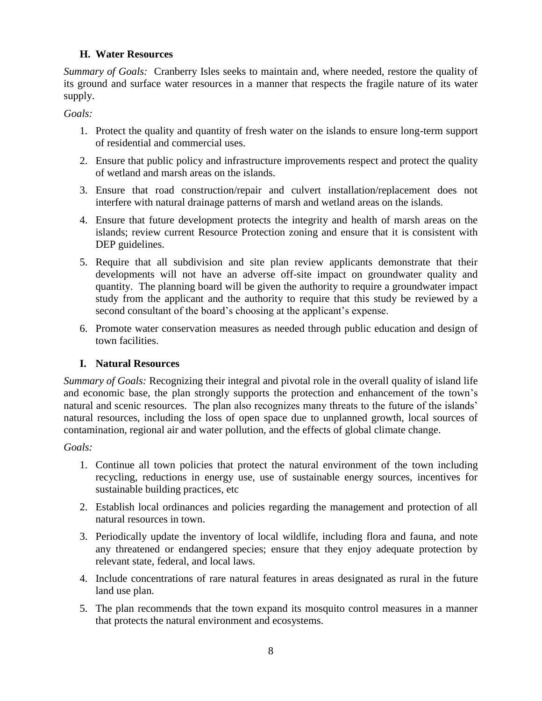# **H. Water Resources**

*Summary of Goals:* Cranberry Isles seeks to maintain and, where needed, restore the quality of its ground and surface water resources in a manner that respects the fragile nature of its water supply.

*Goals:*

- 1. Protect the quality and quantity of fresh water on the islands to ensure long-term support of residential and commercial uses.
- 2. Ensure that public policy and infrastructure improvements respect and protect the quality of wetland and marsh areas on the islands.
- 3. Ensure that road construction/repair and culvert installation/replacement does not interfere with natural drainage patterns of marsh and wetland areas on the islands.
- 4. Ensure that future development protects the integrity and health of marsh areas on the islands; review current Resource Protection zoning and ensure that it is consistent with DEP guidelines.
- 5. Require that all subdivision and site plan review applicants demonstrate that their developments will not have an adverse off-site impact on groundwater quality and quantity. The planning board will be given the authority to require a groundwater impact study from the applicant and the authority to require that this study be reviewed by a second consultant of the board's choosing at the applicant's expense.
- 6. Promote water conservation measures as needed through public education and design of town facilities.

# **I. Natural Resources**

*Summary of Goals:* Recognizing their integral and pivotal role in the overall quality of island life and economic base, the plan strongly supports the protection and enhancement of the town's natural and scenic resources. The plan also recognizes many threats to the future of the islands' natural resources, including the loss of open space due to unplanned growth, local sources of contamination, regional air and water pollution, and the effects of global climate change.

- 1. Continue all town policies that protect the natural environment of the town including recycling, reductions in energy use, use of sustainable energy sources, incentives for sustainable building practices, etc
- 2. Establish local ordinances and policies regarding the management and protection of all natural resources in town.
- 3. Periodically update the inventory of local wildlife, including flora and fauna, and note any threatened or endangered species; ensure that they enjoy adequate protection by relevant state, federal, and local laws.
- 4. Include concentrations of rare natural features in areas designated as rural in the future land use plan.
- 5. The plan recommends that the town expand its mosquito control measures in a manner that protects the natural environment and ecosystems.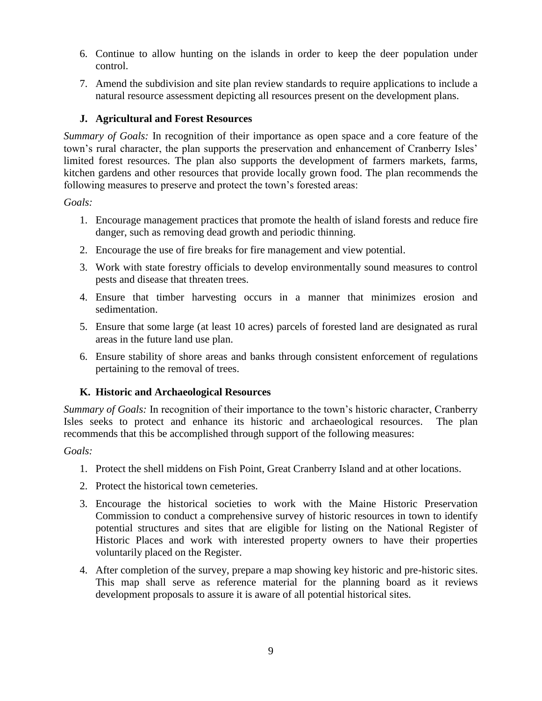- 6. Continue to allow hunting on the islands in order to keep the deer population under control.
- 7. Amend the subdivision and site plan review standards to require applications to include a natural resource assessment depicting all resources present on the development plans.

# **J. Agricultural and Forest Resources**

*Summary of Goals:* In recognition of their importance as open space and a core feature of the town's rural character, the plan supports the preservation and enhancement of Cranberry Isles' limited forest resources. The plan also supports the development of farmers markets, farms, kitchen gardens and other resources that provide locally grown food. The plan recommends the following measures to preserve and protect the town's forested areas:

#### *Goals:*

- 1. Encourage management practices that promote the health of island forests and reduce fire danger, such as removing dead growth and periodic thinning.
- 2. Encourage the use of fire breaks for fire management and view potential.
- 3. Work with state forestry officials to develop environmentally sound measures to control pests and disease that threaten trees.
- 4. Ensure that timber harvesting occurs in a manner that minimizes erosion and sedimentation.
- 5. Ensure that some large (at least 10 acres) parcels of forested land are designated as rural areas in the future land use plan.
- 6. Ensure stability of shore areas and banks through consistent enforcement of regulations pertaining to the removal of trees.

# **K. Historic and Archaeological Resources**

*Summary of Goals:* In recognition of their importance to the town's historic character, Cranberry Isles seeks to protect and enhance its historic and archaeological resources. The plan recommends that this be accomplished through support of the following measures:

- 1. Protect the shell middens on Fish Point, Great Cranberry Island and at other locations.
- 2. Protect the historical town cemeteries.
- 3. Encourage the historical societies to work with the Maine Historic Preservation Commission to conduct a comprehensive survey of historic resources in town to identify potential structures and sites that are eligible for listing on the National Register of Historic Places and work with interested property owners to have their properties voluntarily placed on the Register.
- 4. After completion of the survey, prepare a map showing key historic and pre-historic sites. This map shall serve as reference material for the planning board as it reviews development proposals to assure it is aware of all potential historical sites.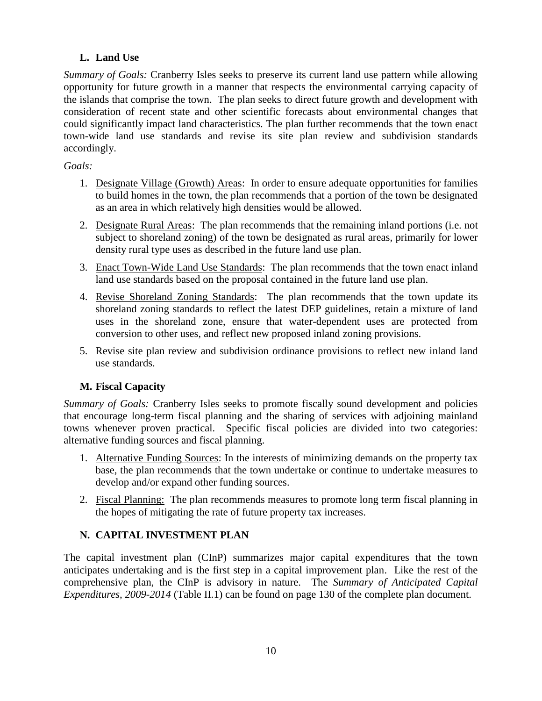# **L. Land Use**

*Summary of Goals:* Cranberry Isles seeks to preserve its current land use pattern while allowing opportunity for future growth in a manner that respects the environmental carrying capacity of the islands that comprise the town. The plan seeks to direct future growth and development with consideration of recent state and other scientific forecasts about environmental changes that could significantly impact land characteristics. The plan further recommends that the town enact town-wide land use standards and revise its site plan review and subdivision standards accordingly.

# *Goals:*

- 1. Designate Village (Growth) Areas: In order to ensure adequate opportunities for families to build homes in the town, the plan recommends that a portion of the town be designated as an area in which relatively high densities would be allowed.
- 2. Designate Rural Areas: The plan recommends that the remaining inland portions (i.e. not subject to shoreland zoning) of the town be designated as rural areas, primarily for lower density rural type uses as described in the future land use plan.
- 3. Enact Town-Wide Land Use Standards: The plan recommends that the town enact inland land use standards based on the proposal contained in the future land use plan.
- 4. Revise Shoreland Zoning Standards: The plan recommends that the town update its shoreland zoning standards to reflect the latest DEP guidelines, retain a mixture of land uses in the shoreland zone, ensure that water-dependent uses are protected from conversion to other uses, and reflect new proposed inland zoning provisions.
- 5. Revise site plan review and subdivision ordinance provisions to reflect new inland land use standards.

# **M. Fiscal Capacity**

*Summary of Goals:* Cranberry Isles seeks to promote fiscally sound development and policies that encourage long-term fiscal planning and the sharing of services with adjoining mainland towns whenever proven practical. Specific fiscal policies are divided into two categories: alternative funding sources and fiscal planning.

- 1. Alternative Funding Sources: In the interests of minimizing demands on the property tax base, the plan recommends that the town undertake or continue to undertake measures to develop and/or expand other funding sources.
- 2. Fiscal Planning: The plan recommends measures to promote long term fiscal planning in the hopes of mitigating the rate of future property tax increases.

# **N. CAPITAL INVESTMENT PLAN**

The capital investment plan (CInP) summarizes major capital expenditures that the town anticipates undertaking and is the first step in a capital improvement plan. Like the rest of the comprehensive plan, the CInP is advisory in nature. The *Summary of Anticipated Capital Expenditures, 2009-2014* (Table II.1) can be found on page 130 of the complete plan document.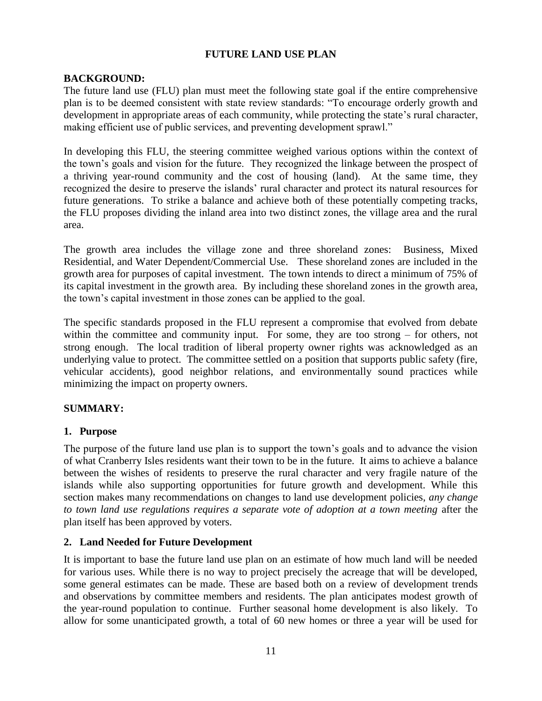# **FUTURE LAND USE PLAN**

# **BACKGROUND:**

The future land use (FLU) plan must meet the following state goal if the entire comprehensive plan is to be deemed consistent with state review standards: "To encourage orderly growth and development in appropriate areas of each community, while protecting the state's rural character, making efficient use of public services, and preventing development sprawl."

In developing this FLU, the steering committee weighed various options within the context of the town's goals and vision for the future. They recognized the linkage between the prospect of a thriving year-round community and the cost of housing (land). At the same time, they recognized the desire to preserve the islands' rural character and protect its natural resources for future generations. To strike a balance and achieve both of these potentially competing tracks, the FLU proposes dividing the inland area into two distinct zones, the village area and the rural area.

The growth area includes the village zone and three shoreland zones: Business, Mixed Residential, and Water Dependent/Commercial Use. These shoreland zones are included in the growth area for purposes of capital investment. The town intends to direct a minimum of 75% of its capital investment in the growth area. By including these shoreland zones in the growth area, the town's capital investment in those zones can be applied to the goal.

The specific standards proposed in the FLU represent a compromise that evolved from debate within the committee and community input. For some, they are too strong – for others, not strong enough. The local tradition of liberal property owner rights was acknowledged as an underlying value to protect. The committee settled on a position that supports public safety (fire, vehicular accidents), good neighbor relations, and environmentally sound practices while minimizing the impact on property owners.

# **SUMMARY:**

# **1. Purpose**

The purpose of the future land use plan is to support the town's goals and to advance the vision of what Cranberry Isles residents want their town to be in the future. It aims to achieve a balance between the wishes of residents to preserve the rural character and very fragile nature of the islands while also supporting opportunities for future growth and development. While this section makes many recommendations on changes to land use development policies, *any change to town land use regulations requires a separate vote of adoption at a town meeting* after the plan itself has been approved by voters.

# **2. Land Needed for Future Development**

It is important to base the future land use plan on an estimate of how much land will be needed for various uses. While there is no way to project precisely the acreage that will be developed, some general estimates can be made. These are based both on a review of development trends and observations by committee members and residents. The plan anticipates modest growth of the year-round population to continue. Further seasonal home development is also likely. To allow for some unanticipated growth, a total of 60 new homes or three a year will be used for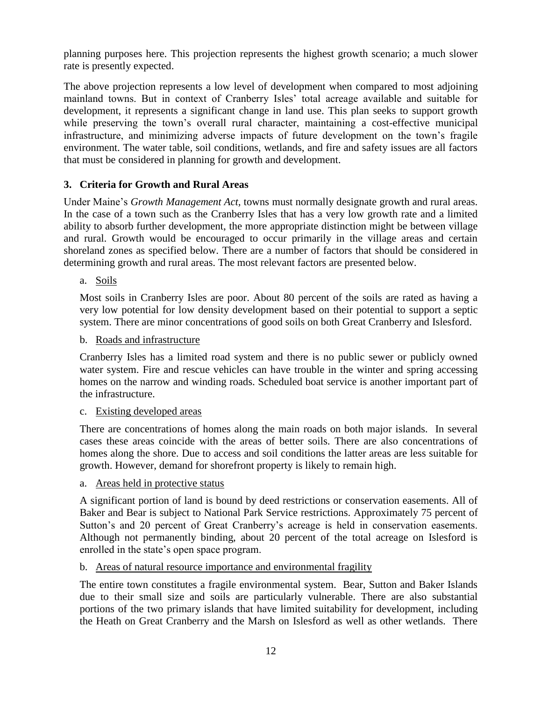planning purposes here. This projection represents the highest growth scenario; a much slower rate is presently expected.

The above projection represents a low level of development when compared to most adjoining mainland towns. But in context of Cranberry Isles' total acreage available and suitable for development, it represents a significant change in land use. This plan seeks to support growth while preserving the town's overall rural character, maintaining a cost-effective municipal infrastructure, and minimizing adverse impacts of future development on the town's fragile environment. The water table, soil conditions, wetlands, and fire and safety issues are all factors that must be considered in planning for growth and development.

# **3. Criteria for Growth and Rural Areas**

Under Maine's *Growth Management Act,* towns must normally designate growth and rural areas. In the case of a town such as the Cranberry Isles that has a very low growth rate and a limited ability to absorb further development, the more appropriate distinction might be between village and rural. Growth would be encouraged to occur primarily in the village areas and certain shoreland zones as specified below. There are a number of factors that should be considered in determining growth and rural areas. The most relevant factors are presented below.

a. Soils

Most soils in Cranberry Isles are poor. About 80 percent of the soils are rated as having a very low potential for low density development based on their potential to support a septic system. There are minor concentrations of good soils on both Great Cranberry and Islesford.

b. Roads and infrastructure

Cranberry Isles has a limited road system and there is no public sewer or publicly owned water system. Fire and rescue vehicles can have trouble in the winter and spring accessing homes on the narrow and winding roads. Scheduled boat service is another important part of the infrastructure.

# c. Existing developed areas

There are concentrations of homes along the main roads on both major islands. In several cases these areas coincide with the areas of better soils. There are also concentrations of homes along the shore. Due to access and soil conditions the latter areas are less suitable for growth. However, demand for shorefront property is likely to remain high.

a. Areas held in protective status

A significant portion of land is bound by deed restrictions or conservation easements. All of Baker and Bear is subject to National Park Service restrictions. Approximately 75 percent of Sutton's and 20 percent of Great Cranberry's acreage is held in conservation easements. Although not permanently binding, about 20 percent of the total acreage on Islesford is enrolled in the state's open space program.

# b. Areas of natural resource importance and environmental fragility

The entire town constitutes a fragile environmental system. Bear, Sutton and Baker Islands due to their small size and soils are particularly vulnerable. There are also substantial portions of the two primary islands that have limited suitability for development, including the Heath on Great Cranberry and the Marsh on Islesford as well as other wetlands. There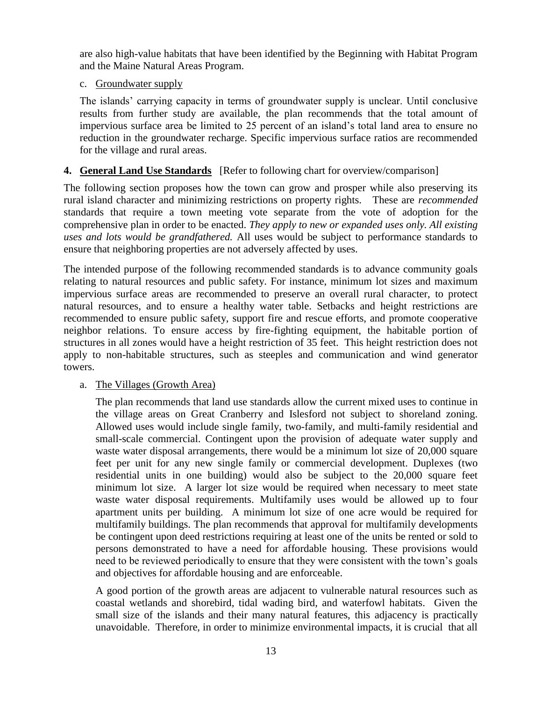are also high-value habitats that have been identified by the Beginning with Habitat Program and the Maine Natural Areas Program.

c. Groundwater supply

The islands' carrying capacity in terms of groundwater supply is unclear. Until conclusive results from further study are available, the plan recommends that the total amount of impervious surface area be limited to 25 percent of an island's total land area to ensure no reduction in the groundwater recharge. Specific impervious surface ratios are recommended for the village and rural areas.

# **4. General Land Use Standards** [Refer to following chart for overview/comparison]

The following section proposes how the town can grow and prosper while also preserving its rural island character and minimizing restrictions on property rights. These are *recommended* standards that require a town meeting vote separate from the vote of adoption for the comprehensive plan in order to be enacted. *They apply to new or expanded uses only. All existing uses and lots would be grandfathered.* All uses would be subject to performance standards to ensure that neighboring properties are not adversely affected by uses.

The intended purpose of the following recommended standards is to advance community goals relating to natural resources and public safety. For instance, minimum lot sizes and maximum impervious surface areas are recommended to preserve an overall rural character, to protect natural resources, and to ensure a healthy water table. Setbacks and height restrictions are recommended to ensure public safety, support fire and rescue efforts, and promote cooperative neighbor relations. To ensure access by fire-fighting equipment, the habitable portion of structures in all zones would have a height restriction of 35 feet. This height restriction does not apply to non-habitable structures, such as steeples and communication and wind generator towers.

# a. The Villages (Growth Area)

The plan recommends that land use standards allow the current mixed uses to continue in the village areas on Great Cranberry and Islesford not subject to shoreland zoning. Allowed uses would include single family, two-family, and multi-family residential and small-scale commercial. Contingent upon the provision of adequate water supply and waste water disposal arrangements, there would be a minimum lot size of 20,000 square feet per unit for any new single family or commercial development. Duplexes (two residential units in one building) would also be subject to the 20,000 square feet minimum lot size. A larger lot size would be required when necessary to meet state waste water disposal requirements. Multifamily uses would be allowed up to four apartment units per building. A minimum lot size of one acre would be required for multifamily buildings. The plan recommends that approval for multifamily developments be contingent upon deed restrictions requiring at least one of the units be rented or sold to persons demonstrated to have a need for affordable housing. These provisions would need to be reviewed periodically to ensure that they were consistent with the town's goals and objectives for affordable housing and are enforceable.

A good portion of the growth areas are adjacent to vulnerable natural resources such as coastal wetlands and shorebird, tidal wading bird, and waterfowl habitats. Given the small size of the islands and their many natural features, this adjacency is practically unavoidable. Therefore, in order to minimize environmental impacts, it is crucial that all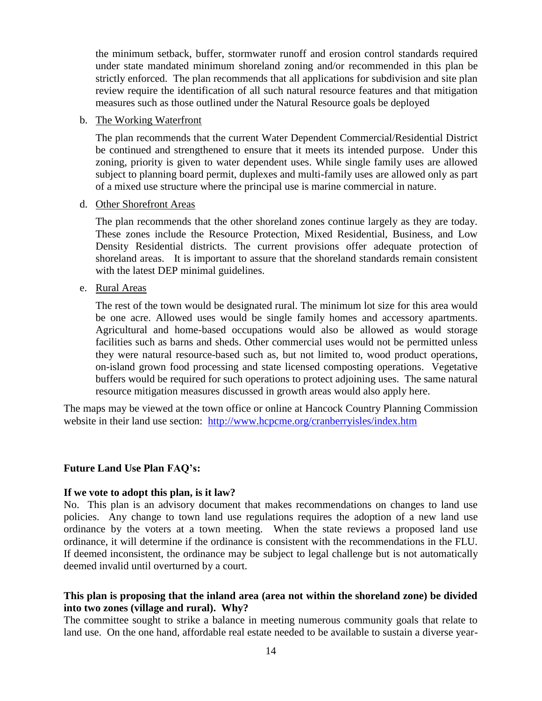the minimum setback, buffer, stormwater runoff and erosion control standards required under state mandated minimum shoreland zoning and/or recommended in this plan be strictly enforced. The plan recommends that all applications for subdivision and site plan review require the identification of all such natural resource features and that mitigation measures such as those outlined under the Natural Resource goals be deployed

#### b. The Working Waterfront

The plan recommends that the current Water Dependent Commercial/Residential District be continued and strengthened to ensure that it meets its intended purpose. Under this zoning, priority is given to water dependent uses. While single family uses are allowed subject to planning board permit, duplexes and multi-family uses are allowed only as part of a mixed use structure where the principal use is marine commercial in nature.

#### d. Other Shorefront Areas

The plan recommends that the other shoreland zones continue largely as they are today. These zones include the Resource Protection, Mixed Residential, Business, and Low Density Residential districts. The current provisions offer adequate protection of shoreland areas. It is important to assure that the shoreland standards remain consistent with the latest DEP minimal guidelines.

#### e. Rural Areas

The rest of the town would be designated rural. The minimum lot size for this area would be one acre. Allowed uses would be single family homes and accessory apartments. Agricultural and home-based occupations would also be allowed as would storage facilities such as barns and sheds. Other commercial uses would not be permitted unless they were natural resource-based such as, but not limited to, wood product operations, on-island grown food processing and state licensed composting operations. Vegetative buffers would be required for such operations to protect adjoining uses. The same natural resource mitigation measures discussed in growth areas would also apply here.

The maps may be viewed at the town office or online at Hancock Country Planning Commission website in their land use section: <http://www.hcpcme.org/cranberryisles/index.htm>

#### **Future Land Use Plan FAQ's:**

#### **If we vote to adopt this plan, is it law?**

No. This plan is an advisory document that makes recommendations on changes to land use policies. Any change to town land use regulations requires the adoption of a new land use ordinance by the voters at a town meeting. When the state reviews a proposed land use ordinance, it will determine if the ordinance is consistent with the recommendations in the FLU. If deemed inconsistent, the ordinance may be subject to legal challenge but is not automatically deemed invalid until overturned by a court.

#### **This plan is proposing that the inland area (area not within the shoreland zone) be divided into two zones (village and rural). Why?**

The committee sought to strike a balance in meeting numerous community goals that relate to land use. On the one hand, affordable real estate needed to be available to sustain a diverse year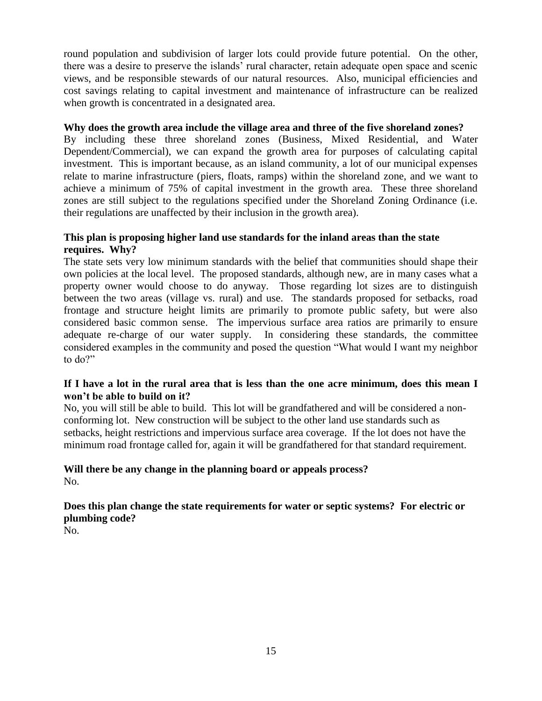round population and subdivision of larger lots could provide future potential. On the other, there was a desire to preserve the islands' rural character, retain adequate open space and scenic views, and be responsible stewards of our natural resources. Also, municipal efficiencies and cost savings relating to capital investment and maintenance of infrastructure can be realized when growth is concentrated in a designated area.

### **Why does the growth area include the village area and three of the five shoreland zones?**

By including these three shoreland zones (Business, Mixed Residential, and Water Dependent/Commercial), we can expand the growth area for purposes of calculating capital investment. This is important because, as an island community, a lot of our municipal expenses relate to marine infrastructure (piers, floats, ramps) within the shoreland zone, and we want to achieve a minimum of 75% of capital investment in the growth area. These three shoreland zones are still subject to the regulations specified under the Shoreland Zoning Ordinance (i.e. their regulations are unaffected by their inclusion in the growth area).

#### **This plan is proposing higher land use standards for the inland areas than the state requires. Why?**

The state sets very low minimum standards with the belief that communities should shape their own policies at the local level. The proposed standards, although new, are in many cases what a property owner would choose to do anyway. Those regarding lot sizes are to distinguish between the two areas (village vs. rural) and use. The standards proposed for setbacks, road frontage and structure height limits are primarily to promote public safety, but were also considered basic common sense. The impervious surface area ratios are primarily to ensure adequate re-charge of our water supply. In considering these standards, the committee considered examples in the community and posed the question "What would I want my neighbor to do?"

#### **If I have a lot in the rural area that is less than the one acre minimum, does this mean I won't be able to build on it?**

No, you will still be able to build. This lot will be grandfathered and will be considered a nonconforming lot. New construction will be subject to the other land use standards such as setbacks, height restrictions and impervious surface area coverage. If the lot does not have the minimum road frontage called for, again it will be grandfathered for that standard requirement.

#### **Will there be any change in the planning board or appeals process?** No.

# **Does this plan change the state requirements for water or septic systems? For electric or plumbing code?**

No.